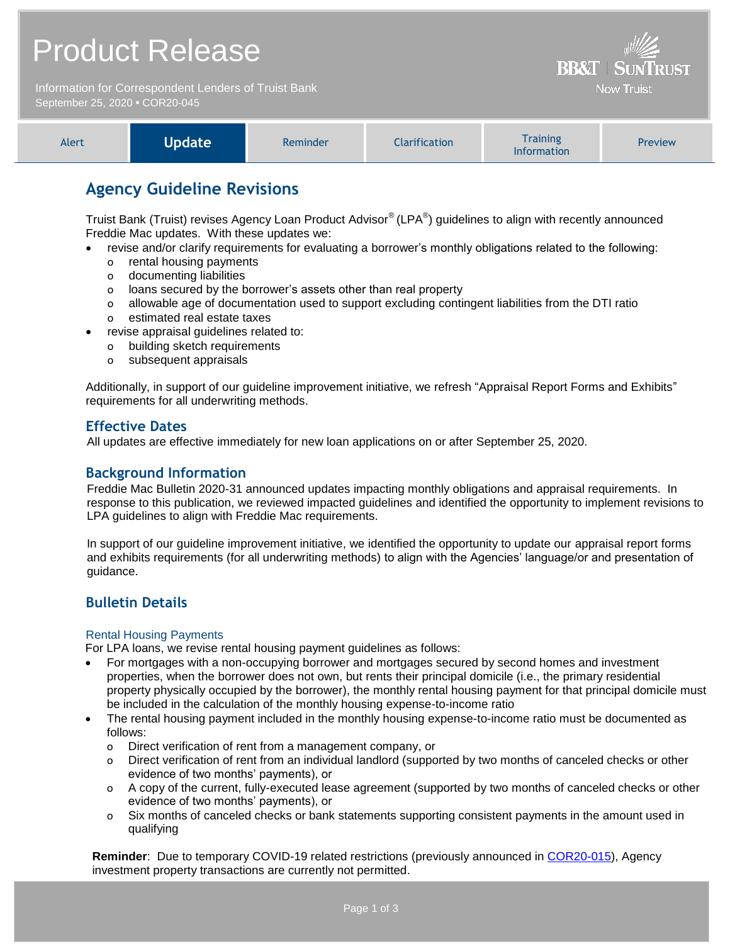## Product Release

Information for Correspondent Lenders of Truist Bank September 25, 2020 **•** COR20-045



**BB&T | SUNTRUST Now Truist** 

## **Agency Guideline Revisions**

Truist Bank (Truist) revises Agency Loan Product Advisor® (LPA®) guidelines to align with recently announced Freddie Mac updates. With these updates we:

- revise and/or clarify requirements for evaluating a borrower's monthly obligations related to the following:
	- o rental housing payments
	- o documenting liabilities
	- o loans secured by the borrower's assets other than real property
	- o allowable age of documentation used to support excluding contingent liabilities from the DTI ratio o estimated real estate taxes
- revise appraisal guidelines related to:
	- o building sketch requirements
	- o subsequent appraisals

Additionally, in support of our guideline improvement initiative, we refresh "Appraisal Report Forms and Exhibits" requirements for all underwriting methods.

## **Effective Dates**

All updates are effective immediately for new loan applications on or after September 25, 2020.

### **Background Information**

Freddie Mac Bulletin 2020-31 announced updates impacting monthly obligations and appraisal requirements. In response to this publication, we reviewed impacted guidelines and identified the opportunity to implement revisions to LPA guidelines to align with Freddie Mac requirements.

In support of our guideline improvement initiative, we identified the opportunity to update our appraisal report forms and exhibits requirements (for all underwriting methods) to align with the Agencies' language/or and presentation of guidance.

## **Bulletin Details**

#### Rental Housing Payments

For LPA loans, we revise rental housing payment guidelines as follows:

- For mortgages with a non-occupying borrower and mortgages secured by second homes and investment properties, when the borrower does not own, but rents their principal domicile (i.e., the primary residential property physically occupied by the borrower), the monthly rental housing payment for that principal domicile must be included in the calculation of the monthly housing expense-to-income ratio
- The rental housing payment included in the monthly housing expense-to-income ratio must be documented as follows:
	- o Direct verification of rent from a management company, or
	- o Direct verification of rent from an individual landlord (supported by two months of canceled checks or other evidence of two months' payments), or
	- o A copy of the current, fully-executed lease agreement (supported by two months of canceled checks or other evidence of two months' payments), or
	- o Six months of canceled checks or bank statements supporting consistent payments in the amount used in qualifying

**Reminder**: Due to temporary COVID-19 related restrictions (previously announced in [COR20-015\)](https://www.truistsellerguide.com/Manual/cor/bulletins/archive/Cr20-015.pdf), Agency investment property transactions are currently not permitted.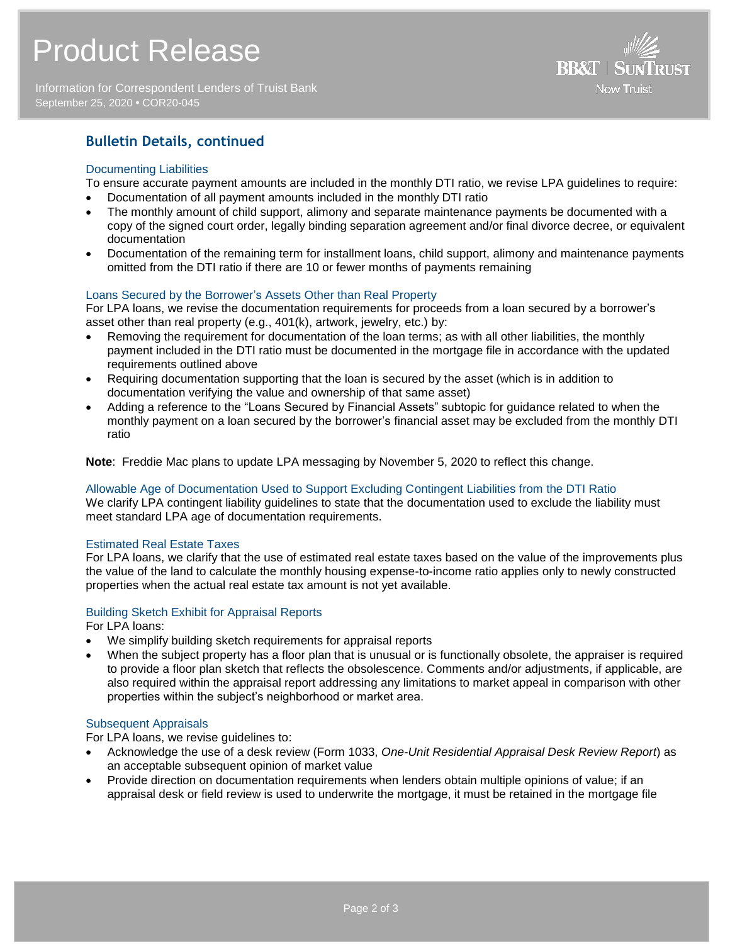Information for Correspondent Lenders of Truist Bank September 25, 2020 **•** COR20-045



## **Bulletin Details, continued**

#### Documenting Liabilities

To ensure accurate payment amounts are included in the monthly DTI ratio, we revise LPA guidelines to require:

- Documentation of all payment amounts included in the monthly DTI ratio
- The monthly amount of child support, alimony and separate maintenance payments be documented with a copy of the signed court order, legally binding separation agreement and/or final divorce decree, or equivalent documentation
- Documentation of the remaining term for installment loans, child support, alimony and maintenance payments omitted from the DTI ratio if there are 10 or fewer months of payments remaining

#### Loans Secured by the Borrower's Assets Other than Real Property

For LPA loans, we revise the documentation requirements for proceeds from a loan secured by a borrower's asset other than real property (e.g., 401(k), artwork, jewelry, etc.) by:

- Removing the requirement for documentation of the loan terms; as with all other liabilities, the monthly payment included in the DTI ratio must be documented in the mortgage file in accordance with the updated requirements outlined above
- Requiring documentation supporting that the loan is secured by the asset (which is in addition to documentation verifying the value and ownership of that same asset)
- Adding a reference to the "Loans Secured by Financial Assets" subtopic for guidance related to when the monthly payment on a loan secured by the borrower's financial asset may be excluded from the monthly DTI ratio

**Note**: Freddie Mac plans to update LPA messaging by November 5, 2020 to reflect this change.

## Allowable Age of Documentation Used to Support Excluding Contingent Liabilities from the DTI Ratio

We clarify LPA contingent liability quidelines to state that the documentation used to exclude the liability must meet standard LPA age of documentation requirements.

#### Estimated Real Estate Taxes

For LPA loans, we clarify that the use of estimated real estate taxes based on the value of the improvements plus the value of the land to calculate the monthly housing expense-to-income ratio applies only to newly constructed properties when the actual real estate tax amount is not yet available.

#### Building Sketch Exhibit for Appraisal Reports

For LPA loans:

- We simplify building sketch requirements for appraisal reports
- When the subject property has a floor plan that is unusual or is functionally obsolete, the appraiser is required to provide a floor plan sketch that reflects the obsolescence. Comments and/or adjustments, if applicable, are also required within the appraisal report addressing any limitations to market appeal in comparison with other properties within the subject's neighborhood or market area.

#### Subsequent Appraisals

For LPA loans, we revise guidelines to:

- Acknowledge the use of a desk review (Form 1033, *One-Unit Residential Appraisal Desk Review Report*) as an acceptable subsequent opinion of market value
- Provide direction on documentation requirements when lenders obtain multiple opinions of value; if an appraisal desk or field review is used to underwrite the mortgage, it must be retained in the mortgage file